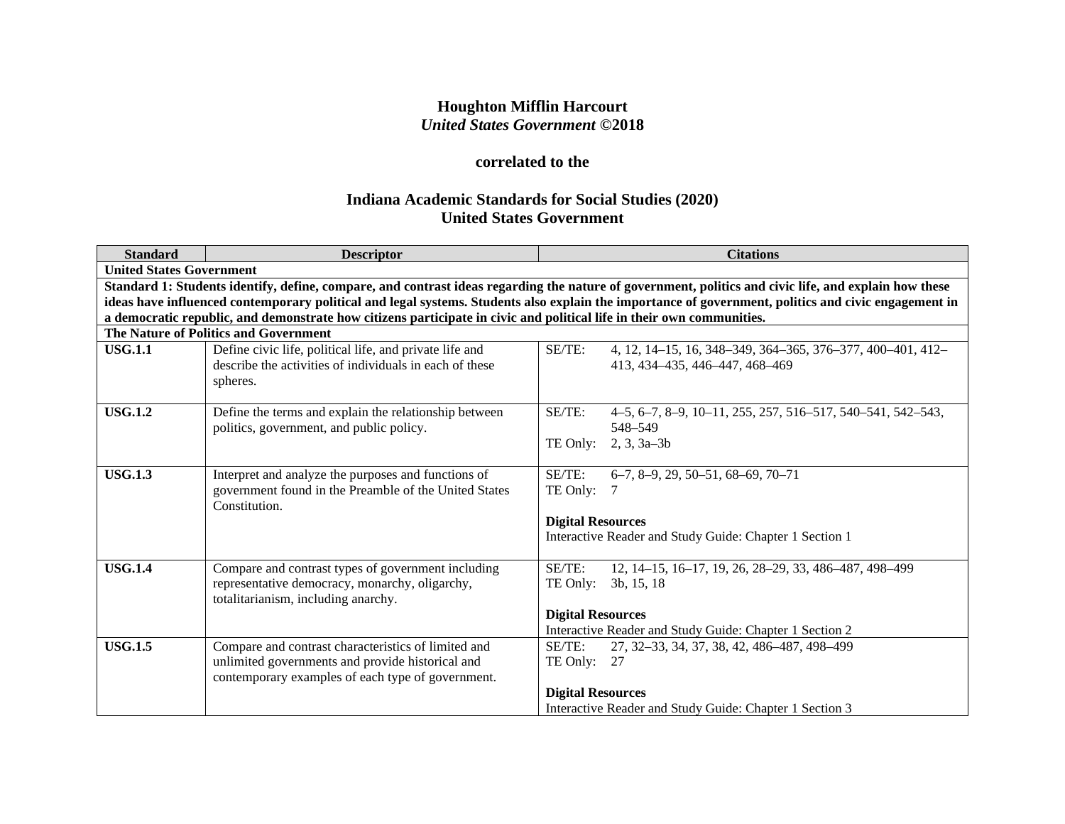# **Houghton Mifflin Harcourt** *United States Government* **©2018**

# **correlated to the**

# **Indiana Academic Standards for Social Studies (2020) United States Government**

| <b>Standard</b> | <b>Descriptor</b>                                                                                                                                            | <b>Citations</b>                                                                                                                                                                                                                                                                                              |  |  |  |
|-----------------|--------------------------------------------------------------------------------------------------------------------------------------------------------------|---------------------------------------------------------------------------------------------------------------------------------------------------------------------------------------------------------------------------------------------------------------------------------------------------------------|--|--|--|
|                 | <b>United States Government</b>                                                                                                                              |                                                                                                                                                                                                                                                                                                               |  |  |  |
|                 |                                                                                                                                                              | Standard 1: Students identify, define, compare, and contrast ideas regarding the nature of government, politics and civic life, and explain how these<br>ideas have influenced contemporary political and legal systems. Students also explain the importance of government, politics and civic engagement in |  |  |  |
|                 | a democratic republic, and demonstrate how citizens participate in civic and political life in their own communities.                                        |                                                                                                                                                                                                                                                                                                               |  |  |  |
|                 | The Nature of Politics and Government                                                                                                                        |                                                                                                                                                                                                                                                                                                               |  |  |  |
| <b>USG.1.1</b>  | Define civic life, political life, and private life and<br>describe the activities of individuals in each of these<br>spheres.                               | SE/TE:<br>4, 12, 14-15, 16, 348-349, 364-365, 376-377, 400-401, 412-<br>413, 434–435, 446–447, 468–469                                                                                                                                                                                                        |  |  |  |
| <b>USG.1.2</b>  | Define the terms and explain the relationship between<br>politics, government, and public policy.                                                            | SE/TE:<br>4-5, 6-7, 8-9, 10-11, 255, 257, 516-517, 540-541, 542-543,<br>548-549<br>TE Only:<br>$2, 3, 3a-3b$                                                                                                                                                                                                  |  |  |  |
| <b>USG.1.3</b>  | Interpret and analyze the purposes and functions of<br>government found in the Preamble of the United States<br>Constitution.                                | SE/TE:<br>$6-7, 8-9, 29, 50-51, 68-69, 70-71$<br>TE Only:<br><b>Digital Resources</b><br>Interactive Reader and Study Guide: Chapter 1 Section 1                                                                                                                                                              |  |  |  |
| <b>USG.1.4</b>  | Compare and contrast types of government including<br>representative democracy, monarchy, oligarchy,<br>totalitarianism, including anarchy.                  | 12, 14-15, 16-17, 19, 26, 28-29, 33, 486-487, 498-499<br>SE/TE:<br>TE Only:<br>3b, 15, 18<br><b>Digital Resources</b><br>Interactive Reader and Study Guide: Chapter 1 Section 2                                                                                                                              |  |  |  |
| <b>USG.1.5</b>  | Compare and contrast characteristics of limited and<br>unlimited governments and provide historical and<br>contemporary examples of each type of government. | 27, 32-33, 34, 37, 38, 42, 486-487, 498-499<br>SE/TE:<br>TE Only: $27$<br><b>Digital Resources</b><br>Interactive Reader and Study Guide: Chapter 1 Section 3                                                                                                                                                 |  |  |  |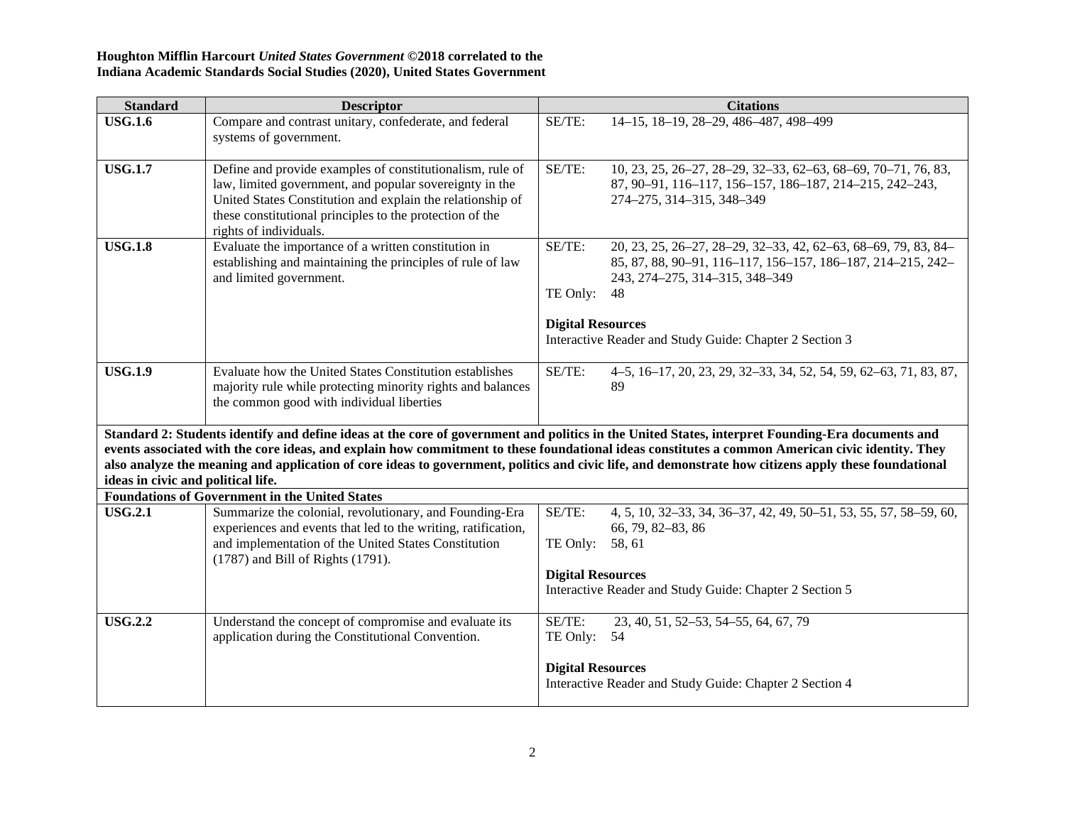| <b>Standard</b>                                                                                                                                                                                                                                                                                                                                                                                                                                                                                    | <b>Descriptor</b>                                                                                                                                                                                                                                                        |                                                                            | <b>Citations</b>                                                                                                                                                                                                           |
|----------------------------------------------------------------------------------------------------------------------------------------------------------------------------------------------------------------------------------------------------------------------------------------------------------------------------------------------------------------------------------------------------------------------------------------------------------------------------------------------------|--------------------------------------------------------------------------------------------------------------------------------------------------------------------------------------------------------------------------------------------------------------------------|----------------------------------------------------------------------------|----------------------------------------------------------------------------------------------------------------------------------------------------------------------------------------------------------------------------|
| <b>USG.1.6</b>                                                                                                                                                                                                                                                                                                                                                                                                                                                                                     | Compare and contrast unitary, confederate, and federal<br>systems of government.                                                                                                                                                                                         | SE/TE:                                                                     | 14-15, 18-19, 28-29, 486-487, 498-499                                                                                                                                                                                      |
| <b>USG.1.7</b>                                                                                                                                                                                                                                                                                                                                                                                                                                                                                     | Define and provide examples of constitutionalism, rule of<br>law, limited government, and popular sovereignty in the<br>United States Constitution and explain the relationship of<br>these constitutional principles to the protection of the<br>rights of individuals. | SE/TE:<br>274-275, 314-315, 348-349                                        | 10, 23, 25, 26-27, 28-29, 32-33, 62-63, 68-69, 70-71, 76, 83,<br>87, 90-91, 116-117, 156-157, 186-187, 214-215, 242-243,                                                                                                   |
| <b>USG.1.8</b>                                                                                                                                                                                                                                                                                                                                                                                                                                                                                     | Evaluate the importance of a written constitution in<br>establishing and maintaining the principles of rule of law<br>and limited government.                                                                                                                            | SE/TE:<br>TE Only:<br>48<br><b>Digital Resources</b>                       | 20, 23, 25, 26-27, 28-29, 32-33, 42, 62-63, 68-69, 79, 83, 84-<br>85, 87, 88, 90-91, 116-117, 156-157, 186-187, 214-215, 242-<br>243, 274-275, 314-315, 348-349<br>Interactive Reader and Study Guide: Chapter 2 Section 3 |
|                                                                                                                                                                                                                                                                                                                                                                                                                                                                                                    |                                                                                                                                                                                                                                                                          |                                                                            |                                                                                                                                                                                                                            |
| <b>USG.1.9</b>                                                                                                                                                                                                                                                                                                                                                                                                                                                                                     | Evaluate how the United States Constitution establishes<br>majority rule while protecting minority rights and balances<br>the common good with individual liberties                                                                                                      | SE/TE:<br>89                                                               | 4–5, 16–17, 20, 23, 29, 32–33, 34, 52, 54, 59, 62–63, 71, 83, 87,                                                                                                                                                          |
| Standard 2: Students identify and define ideas at the core of government and politics in the United States, interpret Founding-Era documents and<br>events associated with the core ideas, and explain how commitment to these foundational ideas constitutes a common American civic identity. They<br>also analyze the meaning and application of core ideas to government, politics and civic life, and demonstrate how citizens apply these foundational<br>ideas in civic and political life. |                                                                                                                                                                                                                                                                          |                                                                            |                                                                                                                                                                                                                            |
|                                                                                                                                                                                                                                                                                                                                                                                                                                                                                                    | <b>Foundations of Government in the United States</b>                                                                                                                                                                                                                    |                                                                            |                                                                                                                                                                                                                            |
| <b>USG.2.1</b>                                                                                                                                                                                                                                                                                                                                                                                                                                                                                     | Summarize the colonial, revolutionary, and Founding-Era<br>experiences and events that led to the writing, ratification,<br>and implementation of the United States Constitution<br>(1787) and Bill of Rights (1791).                                                    | SE/TE:<br>66, 79, 82-83, 86<br>TE Only: 58, 61<br><b>Digital Resources</b> | 4, 5, 10, 32–33, 34, 36–37, 42, 49, 50–51, 53, 55, 57, 58–59, 60,<br>Interactive Reader and Study Guide: Chapter 2 Section 5                                                                                               |
| <b>USG.2.2</b>                                                                                                                                                                                                                                                                                                                                                                                                                                                                                     | Understand the concept of compromise and evaluate its<br>application during the Constitutional Convention.                                                                                                                                                               | SE/TE:<br>TE Only: 54                                                      | 23, 40, 51, 52-53, 54-55, 64, 67, 79                                                                                                                                                                                       |
|                                                                                                                                                                                                                                                                                                                                                                                                                                                                                                    |                                                                                                                                                                                                                                                                          | <b>Digital Resources</b>                                                   | Interactive Reader and Study Guide: Chapter 2 Section 4                                                                                                                                                                    |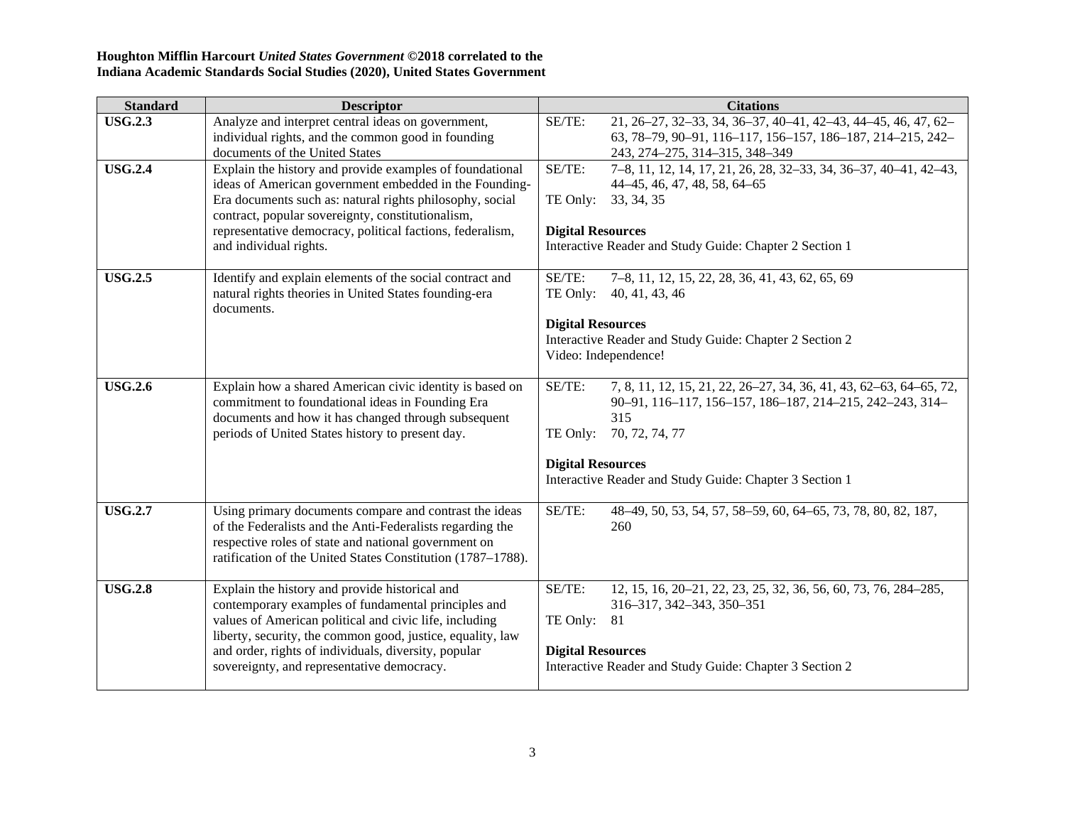| <b>Standard</b> | <b>Descriptor</b>                                                                                                                                                                                                                                                                                                                   | <b>Citations</b>                                                                                                                                                                                                                                                  |
|-----------------|-------------------------------------------------------------------------------------------------------------------------------------------------------------------------------------------------------------------------------------------------------------------------------------------------------------------------------------|-------------------------------------------------------------------------------------------------------------------------------------------------------------------------------------------------------------------------------------------------------------------|
| <b>USG.2.3</b>  | Analyze and interpret central ideas on government,<br>individual rights, and the common good in founding<br>documents of the United States                                                                                                                                                                                          | SE/TE:<br>21, 26-27, 32-33, 34, 36-37, 40-41, 42-43, 44-45, 46, 47, 62-<br>63, 78-79, 90-91, 116-117, 156-157, 186-187, 214-215, 242-<br>243, 274-275, 314-315, 348-349                                                                                           |
| <b>USG.2.4</b>  | Explain the history and provide examples of foundational<br>ideas of American government embedded in the Founding-<br>Era documents such as: natural rights philosophy, social<br>contract, popular sovereignty, constitutionalism,<br>representative democracy, political factions, federalism,<br>and individual rights.          | SE/TE:<br>7-8, 11, 12, 14, 17, 21, 26, 28, 32-33, 34, 36-37, 40-41, 42-43,<br>44–45, 46, 47, 48, 58, 64–65<br>TE Only:<br>33, 34, 35<br><b>Digital Resources</b><br>Interactive Reader and Study Guide: Chapter 2 Section 1                                       |
| <b>USG.2.5</b>  | Identify and explain elements of the social contract and<br>natural rights theories in United States founding-era<br>documents.                                                                                                                                                                                                     | SE/TE:<br>7–8, 11, 12, 15, 22, 28, 36, 41, 43, 62, 65, 69<br>40, 41, 43, 46<br>TE Only:<br><b>Digital Resources</b><br>Interactive Reader and Study Guide: Chapter 2 Section 2<br>Video: Independence!                                                            |
| <b>USG.2.6</b>  | Explain how a shared American civic identity is based on<br>commitment to foundational ideas in Founding Era<br>documents and how it has changed through subsequent<br>periods of United States history to present day.                                                                                                             | SE/TE:<br>7, 8, 11, 12, 15, 21, 22, 26–27, 34, 36, 41, 43, 62–63, 64–65, 72,<br>90-91, 116-117, 156-157, 186-187, 214-215, 242-243, 314-<br>315<br>TE Only: 70, 72, 74, 77<br><b>Digital Resources</b><br>Interactive Reader and Study Guide: Chapter 3 Section 1 |
| <b>USG.2.7</b>  | Using primary documents compare and contrast the ideas<br>of the Federalists and the Anti-Federalists regarding the<br>respective roles of state and national government on<br>ratification of the United States Constitution (1787-1788).                                                                                          | SE/TE:<br>48-49, 50, 53, 54, 57, 58-59, 60, 64-65, 73, 78, 80, 82, 187,<br>260                                                                                                                                                                                    |
| <b>USG.2.8</b>  | Explain the history and provide historical and<br>contemporary examples of fundamental principles and<br>values of American political and civic life, including<br>liberty, security, the common good, justice, equality, law<br>and order, rights of individuals, diversity, popular<br>sovereignty, and representative democracy. | SE/TE:<br>12, 15, 16, 20–21, 22, 23, 25, 32, 36, 56, 60, 73, 76, 284–285,<br>316-317, 342-343, 350-351<br>TE Only:<br>81<br><b>Digital Resources</b><br>Interactive Reader and Study Guide: Chapter 3 Section 2                                                   |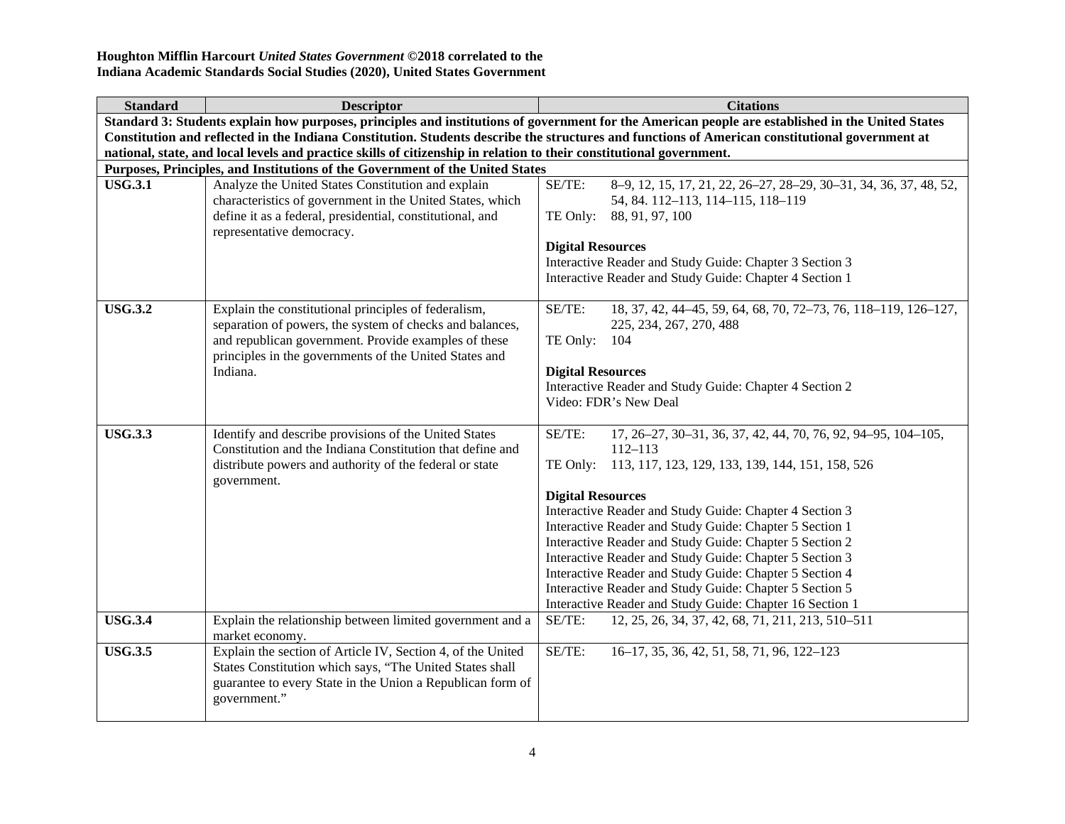| <b>Standard</b>                                                                                                      | <b>Descriptor</b>                                                                                                  | <b>Citations</b>                                                                                                                                  |  |  |
|----------------------------------------------------------------------------------------------------------------------|--------------------------------------------------------------------------------------------------------------------|---------------------------------------------------------------------------------------------------------------------------------------------------|--|--|
|                                                                                                                      |                                                                                                                    | Standard 3: Students explain how purposes, principles and institutions of government for the American people are established in the United States |  |  |
|                                                                                                                      |                                                                                                                    | Constitution and reflected in the Indiana Constitution. Students describe the structures and functions of American constitutional government at   |  |  |
| national, state, and local levels and practice skills of citizenship in relation to their constitutional government. |                                                                                                                    |                                                                                                                                                   |  |  |
|                                                                                                                      | Purposes, Principles, and Institutions of the Government of the United States                                      |                                                                                                                                                   |  |  |
| <b>USG.3.1</b>                                                                                                       | Analyze the United States Constitution and explain                                                                 | SE/TE:<br>8-9, 12, 15, 17, 21, 22, 26-27, 28-29, 30-31, 34, 36, 37, 48, 52,                                                                       |  |  |
|                                                                                                                      | characteristics of government in the United States, which                                                          | 54, 84. 112-113, 114-115, 118-119                                                                                                                 |  |  |
|                                                                                                                      | define it as a federal, presidential, constitutional, and                                                          | TE Only: 88, 91, 97, 100                                                                                                                          |  |  |
|                                                                                                                      | representative democracy.                                                                                          |                                                                                                                                                   |  |  |
|                                                                                                                      |                                                                                                                    | <b>Digital Resources</b>                                                                                                                          |  |  |
|                                                                                                                      |                                                                                                                    | Interactive Reader and Study Guide: Chapter 3 Section 3                                                                                           |  |  |
|                                                                                                                      |                                                                                                                    | Interactive Reader and Study Guide: Chapter 4 Section 1                                                                                           |  |  |
| <b>USG.3.2</b>                                                                                                       | Explain the constitutional principles of federalism,                                                               | SE/TE:<br>18, 37, 42, 44-45, 59, 64, 68, 70, 72-73, 76, 118-119, 126-127,                                                                         |  |  |
|                                                                                                                      | separation of powers, the system of checks and balances,                                                           | 225, 234, 267, 270, 488                                                                                                                           |  |  |
|                                                                                                                      | and republican government. Provide examples of these<br>principles in the governments of the United States and     | TE Only:<br>104                                                                                                                                   |  |  |
|                                                                                                                      | Indiana.                                                                                                           | <b>Digital Resources</b>                                                                                                                          |  |  |
|                                                                                                                      |                                                                                                                    | Interactive Reader and Study Guide: Chapter 4 Section 2                                                                                           |  |  |
|                                                                                                                      |                                                                                                                    | Video: FDR's New Deal                                                                                                                             |  |  |
|                                                                                                                      |                                                                                                                    |                                                                                                                                                   |  |  |
| <b>USG.3.3</b>                                                                                                       | Identify and describe provisions of the United States<br>Constitution and the Indiana Constitution that define and | SE/TE:<br>17, 26-27, 30-31, 36, 37, 42, 44, 70, 76, 92, 94-95, 104-105,<br>$112 - 113$                                                            |  |  |
|                                                                                                                      | distribute powers and authority of the federal or state<br>government.                                             | 113, 117, 123, 129, 133, 139, 144, 151, 158, 526<br>TE Only:                                                                                      |  |  |
|                                                                                                                      |                                                                                                                    | <b>Digital Resources</b>                                                                                                                          |  |  |
|                                                                                                                      |                                                                                                                    | Interactive Reader and Study Guide: Chapter 4 Section 3                                                                                           |  |  |
|                                                                                                                      |                                                                                                                    | Interactive Reader and Study Guide: Chapter 5 Section 1                                                                                           |  |  |
|                                                                                                                      |                                                                                                                    | Interactive Reader and Study Guide: Chapter 5 Section 2                                                                                           |  |  |
|                                                                                                                      |                                                                                                                    | Interactive Reader and Study Guide: Chapter 5 Section 3                                                                                           |  |  |
|                                                                                                                      |                                                                                                                    | Interactive Reader and Study Guide: Chapter 5 Section 4                                                                                           |  |  |
|                                                                                                                      |                                                                                                                    | Interactive Reader and Study Guide: Chapter 5 Section 5                                                                                           |  |  |
|                                                                                                                      |                                                                                                                    | Interactive Reader and Study Guide: Chapter 16 Section 1                                                                                          |  |  |
| <b>USG.3.4</b>                                                                                                       | Explain the relationship between limited government and a<br>market economy.                                       | 12, 25, 26, 34, 37, 42, 68, 71, 211, 213, 510-511<br>SE/TE:                                                                                       |  |  |
| <b>USG.3.5</b>                                                                                                       | Explain the section of Article IV, Section 4, of the United                                                        | SE/TE:<br>16-17, 35, 36, 42, 51, 58, 71, 96, 122-123                                                                                              |  |  |
|                                                                                                                      | States Constitution which says, "The United States shall                                                           |                                                                                                                                                   |  |  |
|                                                                                                                      | guarantee to every State in the Union a Republican form of                                                         |                                                                                                                                                   |  |  |
|                                                                                                                      | government."                                                                                                       |                                                                                                                                                   |  |  |
|                                                                                                                      |                                                                                                                    |                                                                                                                                                   |  |  |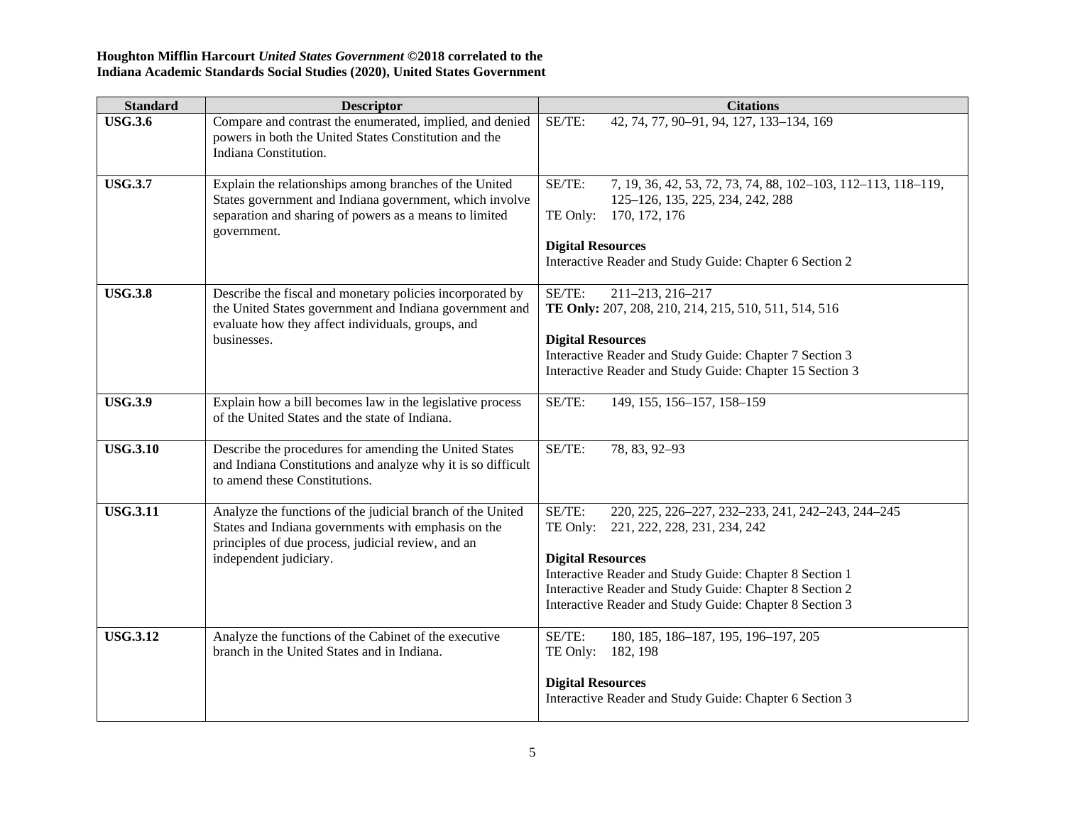| <b>Standard</b> | <b>Descriptor</b>                                                                                                                                                                                 | <b>Citations</b>                                                                                                                                                                                                                                                                                                  |
|-----------------|---------------------------------------------------------------------------------------------------------------------------------------------------------------------------------------------------|-------------------------------------------------------------------------------------------------------------------------------------------------------------------------------------------------------------------------------------------------------------------------------------------------------------------|
| <b>USG.3.6</b>  | Compare and contrast the enumerated, implied, and denied<br>powers in both the United States Constitution and the<br>Indiana Constitution.                                                        | SE/TE:<br>42, 74, 77, 90-91, 94, 127, 133-134, 169                                                                                                                                                                                                                                                                |
| <b>USG.3.7</b>  | Explain the relationships among branches of the United<br>States government and Indiana government, which involve<br>separation and sharing of powers as a means to limited<br>government.        | SE/TE:<br>7, 19, 36, 42, 53, 72, 73, 74, 88, 102-103, 112-113, 118-119,<br>125-126, 135, 225, 234, 242, 288<br>TE Only:<br>170, 172, 176<br><b>Digital Resources</b><br>Interactive Reader and Study Guide: Chapter 6 Section 2                                                                                   |
| <b>USG.3.8</b>  | Describe the fiscal and monetary policies incorporated by<br>the United States government and Indiana government and<br>evaluate how they affect individuals, groups, and<br>businesses.          | SE/TE:<br>211-213, 216-217<br>TE Only: 207, 208, 210, 214, 215, 510, 511, 514, 516<br><b>Digital Resources</b><br>Interactive Reader and Study Guide: Chapter 7 Section 3<br>Interactive Reader and Study Guide: Chapter 15 Section 3                                                                             |
| <b>USG.3.9</b>  | Explain how a bill becomes law in the legislative process<br>of the United States and the state of Indiana.                                                                                       | SE/TE:<br>149, 155, 156-157, 158-159                                                                                                                                                                                                                                                                              |
| <b>USG.3.10</b> | Describe the procedures for amending the United States<br>and Indiana Constitutions and analyze why it is so difficult<br>to amend these Constitutions.                                           | SE/TE:<br>78, 83, 92-93                                                                                                                                                                                                                                                                                           |
| <b>USG.3.11</b> | Analyze the functions of the judicial branch of the United<br>States and Indiana governments with emphasis on the<br>principles of due process, judicial review, and an<br>independent judiciary. | SE/TE:<br>220, 225, 226-227, 232-233, 241, 242-243, 244-245<br>TE Only: 221, 222, 228, 231, 234, 242<br><b>Digital Resources</b><br>Interactive Reader and Study Guide: Chapter 8 Section 1<br>Interactive Reader and Study Guide: Chapter 8 Section 2<br>Interactive Reader and Study Guide: Chapter 8 Section 3 |
| <b>USG.3.12</b> | Analyze the functions of the Cabinet of the executive<br>branch in the United States and in Indiana.                                                                                              | SE/TE:<br>180, 185, 186-187, 195, 196-197, 205<br>TE Only: 182, 198<br><b>Digital Resources</b><br>Interactive Reader and Study Guide: Chapter 6 Section 3                                                                                                                                                        |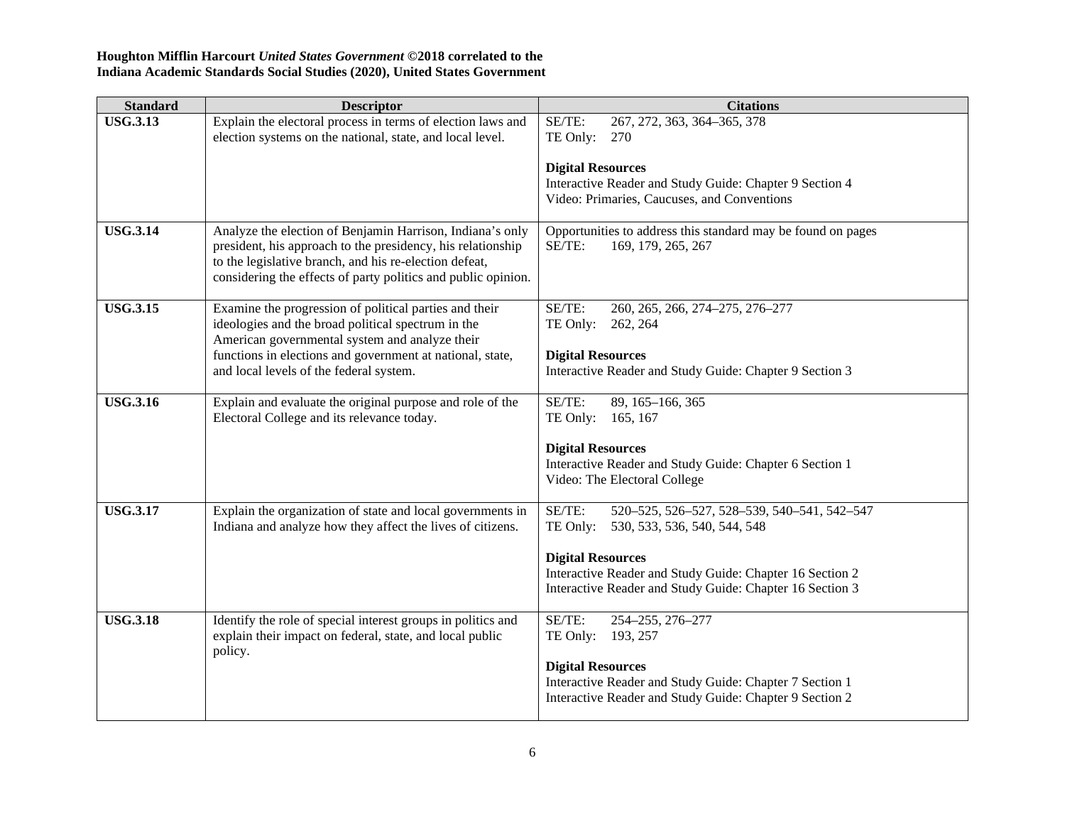| <b>Standard</b> | <b>Descriptor</b>                                                                                                                                                                                                                                   | <b>Citations</b>                                                                             |
|-----------------|-----------------------------------------------------------------------------------------------------------------------------------------------------------------------------------------------------------------------------------------------------|----------------------------------------------------------------------------------------------|
| <b>USG.3.13</b> | Explain the electoral process in terms of election laws and<br>election systems on the national, state, and local level.                                                                                                                            | SE/TE:<br>267, 272, 363, 364-365, 378<br>TE Only: 270                                        |
|                 |                                                                                                                                                                                                                                                     | <b>Digital Resources</b>                                                                     |
|                 |                                                                                                                                                                                                                                                     | Interactive Reader and Study Guide: Chapter 9 Section 4                                      |
|                 |                                                                                                                                                                                                                                                     | Video: Primaries, Caucuses, and Conventions                                                  |
| <b>USG.3.14</b> | Analyze the election of Benjamin Harrison, Indiana's only<br>president, his approach to the presidency, his relationship<br>to the legislative branch, and his re-election defeat,<br>considering the effects of party politics and public opinion. | Opportunities to address this standard may be found on pages<br>SE/TE:<br>169, 179, 265, 267 |
| <b>USG.3.15</b> | Examine the progression of political parties and their                                                                                                                                                                                              | SE/TE:<br>260, 265, 266, 274-275, 276-277                                                    |
|                 | ideologies and the broad political spectrum in the<br>American governmental system and analyze their                                                                                                                                                | TE Only: 262, 264                                                                            |
|                 | functions in elections and government at national, state,                                                                                                                                                                                           | <b>Digital Resources</b>                                                                     |
|                 | and local levels of the federal system.                                                                                                                                                                                                             | Interactive Reader and Study Guide: Chapter 9 Section 3                                      |
| <b>USG.3.16</b> | Explain and evaluate the original purpose and role of the                                                                                                                                                                                           | SE/TE:<br>89, 165-166, 365                                                                   |
|                 | Electoral College and its relevance today.                                                                                                                                                                                                          | 165, 167<br>TE Only:                                                                         |
|                 |                                                                                                                                                                                                                                                     | <b>Digital Resources</b>                                                                     |
|                 |                                                                                                                                                                                                                                                     | Interactive Reader and Study Guide: Chapter 6 Section 1                                      |
|                 |                                                                                                                                                                                                                                                     | Video: The Electoral College                                                                 |
| <b>USG.3.17</b> | Explain the organization of state and local governments in                                                                                                                                                                                          | SE/TE:<br>520-525, 526-527, 528-539, 540-541, 542-547                                        |
|                 | Indiana and analyze how they affect the lives of citizens.                                                                                                                                                                                          | TE Only:<br>530, 533, 536, 540, 544, 548                                                     |
|                 |                                                                                                                                                                                                                                                     | <b>Digital Resources</b>                                                                     |
|                 |                                                                                                                                                                                                                                                     | Interactive Reader and Study Guide: Chapter 16 Section 2                                     |
|                 |                                                                                                                                                                                                                                                     | Interactive Reader and Study Guide: Chapter 16 Section 3                                     |
| <b>USG.3.18</b> | Identify the role of special interest groups in politics and                                                                                                                                                                                        | SE/TE:<br>254-255, 276-277                                                                   |
|                 | explain their impact on federal, state, and local public<br>policy.                                                                                                                                                                                 | TE Only: 193, 257                                                                            |
|                 |                                                                                                                                                                                                                                                     | <b>Digital Resources</b>                                                                     |
|                 |                                                                                                                                                                                                                                                     | Interactive Reader and Study Guide: Chapter 7 Section 1                                      |
|                 |                                                                                                                                                                                                                                                     | Interactive Reader and Study Guide: Chapter 9 Section 2                                      |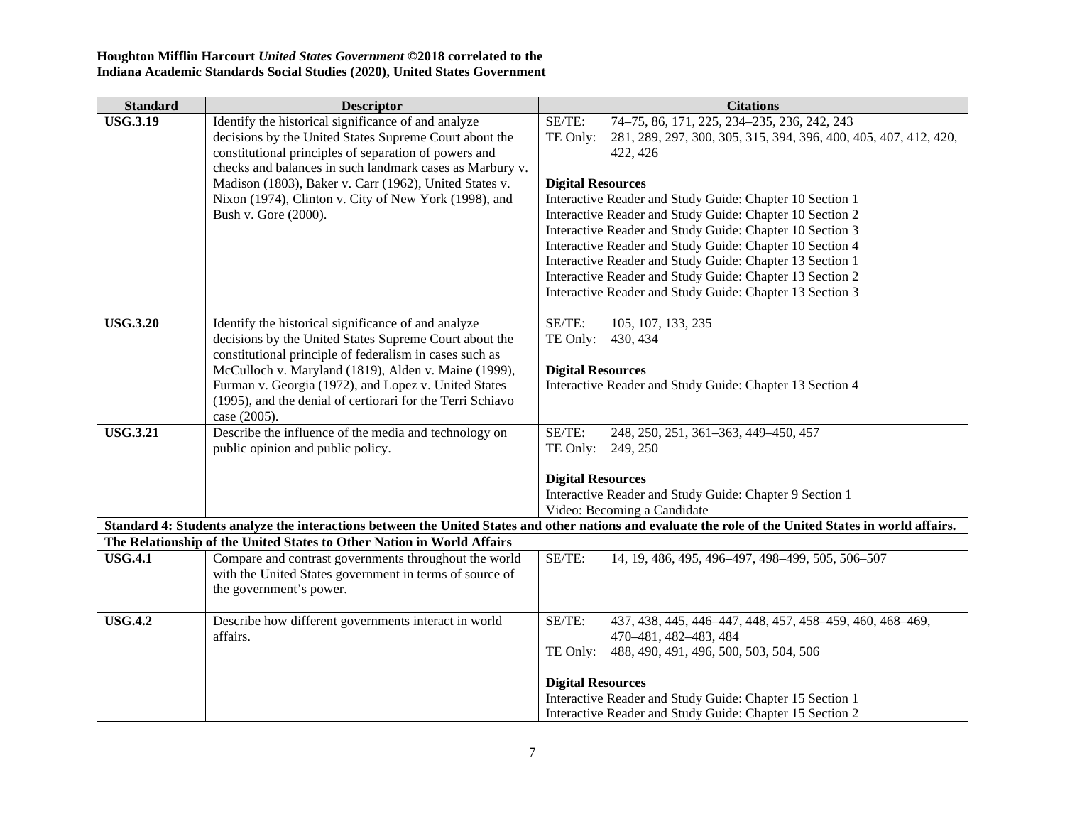| <b>Standard</b> | <b>Descriptor</b>                                                      | <b>Citations</b>                                                                                                                                       |
|-----------------|------------------------------------------------------------------------|--------------------------------------------------------------------------------------------------------------------------------------------------------|
| <b>USG.3.19</b> | Identify the historical significance of and analyze                    | SE/TE:<br>74-75, 86, 171, 225, 234-235, 236, 242, 243                                                                                                  |
|                 | decisions by the United States Supreme Court about the                 | TE Only:<br>281, 289, 297, 300, 305, 315, 394, 396, 400, 405, 407, 412, 420,                                                                           |
|                 | constitutional principles of separation of powers and                  | 422, 426                                                                                                                                               |
|                 | checks and balances in such landmark cases as Marbury v.               |                                                                                                                                                        |
|                 | Madison (1803), Baker v. Carr (1962), United States v.                 | <b>Digital Resources</b>                                                                                                                               |
|                 | Nixon (1974), Clinton v. City of New York (1998), and                  | Interactive Reader and Study Guide: Chapter 10 Section 1                                                                                               |
|                 | Bush v. Gore (2000).                                                   | Interactive Reader and Study Guide: Chapter 10 Section 2<br>Interactive Reader and Study Guide: Chapter 10 Section 3                                   |
|                 |                                                                        | Interactive Reader and Study Guide: Chapter 10 Section 4                                                                                               |
|                 |                                                                        | Interactive Reader and Study Guide: Chapter 13 Section 1                                                                                               |
|                 |                                                                        | Interactive Reader and Study Guide: Chapter 13 Section 2                                                                                               |
|                 |                                                                        | Interactive Reader and Study Guide: Chapter 13 Section 3                                                                                               |
|                 |                                                                        |                                                                                                                                                        |
| <b>USG.3.20</b> | Identify the historical significance of and analyze                    | SE/TE:<br>105, 107, 133, 235                                                                                                                           |
|                 | decisions by the United States Supreme Court about the                 | TE Only:<br>430, 434                                                                                                                                   |
|                 | constitutional principle of federalism in cases such as                |                                                                                                                                                        |
|                 | McCulloch v. Maryland (1819), Alden v. Maine (1999),                   | <b>Digital Resources</b>                                                                                                                               |
|                 | Furman v. Georgia (1972), and Lopez v. United States                   | Interactive Reader and Study Guide: Chapter 13 Section 4                                                                                               |
|                 | (1995), and the denial of certiorari for the Terri Schiavo             |                                                                                                                                                        |
|                 | case (2005).                                                           |                                                                                                                                                        |
| <b>USG.3.21</b> | Describe the influence of the media and technology on                  | SE/TE:<br>248, 250, 251, 361-363, 449-450, 457                                                                                                         |
|                 | public opinion and public policy.                                      | TE Only:<br>249, 250                                                                                                                                   |
|                 |                                                                        | <b>Digital Resources</b>                                                                                                                               |
|                 |                                                                        | Interactive Reader and Study Guide: Chapter 9 Section 1                                                                                                |
|                 |                                                                        | Video: Becoming a Candidate                                                                                                                            |
|                 |                                                                        | Standard 4: Students analyze the interactions between the United States and other nations and evaluate the role of the United States in world affairs. |
|                 | The Relationship of the United States to Other Nation in World Affairs |                                                                                                                                                        |
| <b>USG.4.1</b>  | Compare and contrast governments throughout the world                  | SE/TE:<br>14, 19, 486, 495, 496-497, 498-499, 505, 506-507                                                                                             |
|                 | with the United States government in terms of source of                |                                                                                                                                                        |
|                 | the government's power.                                                |                                                                                                                                                        |
| <b>USG.4.2</b>  | Describe how different governments interact in world                   | SE/TE:<br>437, 438, 445, 446-447, 448, 457, 458-459, 460, 468-469,                                                                                     |
|                 | affairs.                                                               | 470-481, 482-483, 484                                                                                                                                  |
|                 |                                                                        | 488, 490, 491, 496, 500, 503, 504, 506<br>TE Only:                                                                                                     |
|                 |                                                                        |                                                                                                                                                        |
|                 |                                                                        | <b>Digital Resources</b>                                                                                                                               |
|                 |                                                                        | Interactive Reader and Study Guide: Chapter 15 Section 1                                                                                               |
|                 |                                                                        | Interactive Reader and Study Guide: Chapter 15 Section 2                                                                                               |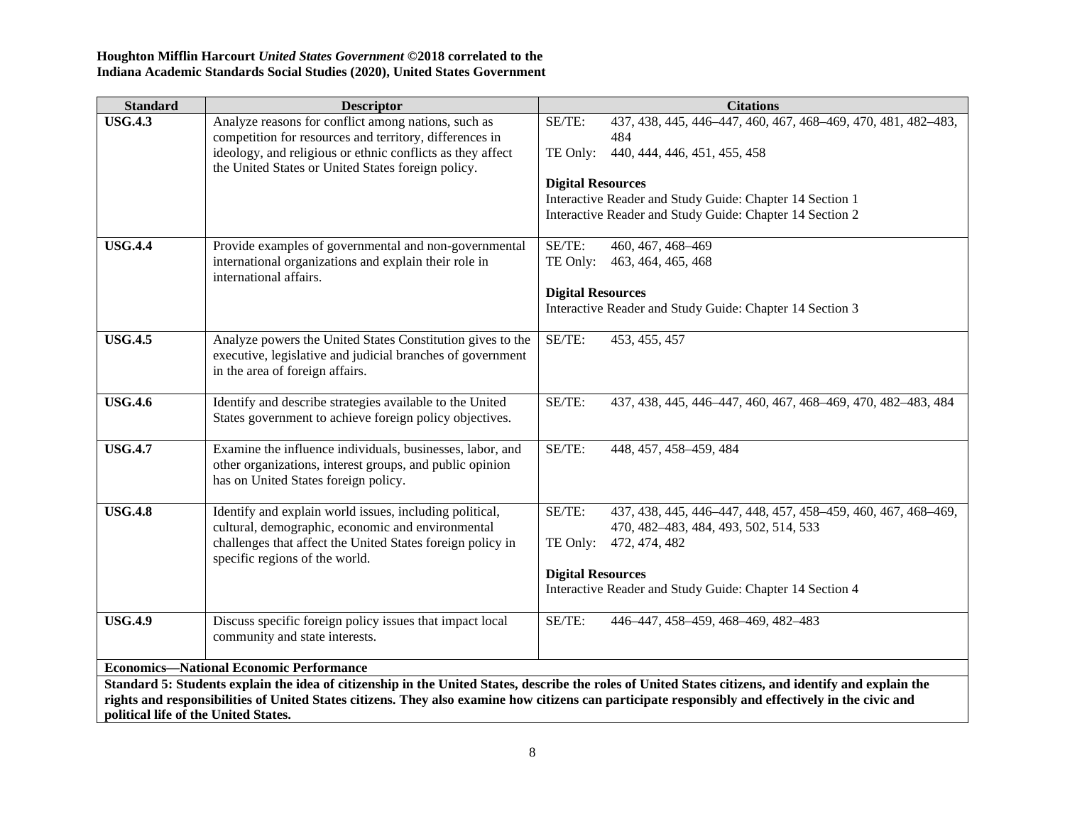| <b>Standard</b>                                        | <b>Descriptor</b>                                                                                                                                                                                                                  |                                                | <b>Citations</b>                                                                                                                                                                                                             |  |
|--------------------------------------------------------|------------------------------------------------------------------------------------------------------------------------------------------------------------------------------------------------------------------------------------|------------------------------------------------|------------------------------------------------------------------------------------------------------------------------------------------------------------------------------------------------------------------------------|--|
| <b>USG.4.3</b>                                         | Analyze reasons for conflict among nations, such as<br>competition for resources and territory, differences in<br>ideology, and religious or ethnic conflicts as they affect<br>the United States or United States foreign policy. | SE/TE:<br>TE Only:<br><b>Digital Resources</b> | 437, 438, 445, 446-447, 460, 467, 468-469, 470, 481, 482-483,<br>484<br>440, 444, 446, 451, 455, 458<br>Interactive Reader and Study Guide: Chapter 14 Section 1<br>Interactive Reader and Study Guide: Chapter 14 Section 2 |  |
| <b>USG.4.4</b><br>international affairs.               | Provide examples of governmental and non-governmental<br>international organizations and explain their role in                                                                                                                     | SE/TE:<br>TE Only:<br><b>Digital Resources</b> | 460, 467, 468-469<br>463, 464, 465, 468<br>Interactive Reader and Study Guide: Chapter 14 Section 3                                                                                                                          |  |
| <b>USG.4.5</b><br>in the area of foreign affairs.      | Analyze powers the United States Constitution gives to the<br>executive, legislative and judicial branches of government                                                                                                           | SE/TE:                                         | 453, 455, 457                                                                                                                                                                                                                |  |
| <b>USG.4.6</b>                                         | Identify and describe strategies available to the United<br>States government to achieve foreign policy objectives.                                                                                                                | SE/TE:                                         | 437, 438, 445, 446-447, 460, 467, 468-469, 470, 482-483, 484                                                                                                                                                                 |  |
| <b>USG.4.7</b><br>has on United States foreign policy. | Examine the influence individuals, businesses, labor, and<br>other organizations, interest groups, and public opinion                                                                                                              | SE/TE:                                         | 448, 457, 458-459, 484                                                                                                                                                                                                       |  |
| <b>USG.4.8</b><br>specific regions of the world.       | Identify and explain world issues, including political,<br>cultural, demographic, economic and environmental<br>challenges that affect the United States foreign policy in                                                         | SE/TE:<br>TE Only:<br><b>Digital Resources</b> | 437, 438, 445, 446-447, 448, 457, 458-459, 460, 467, 468-469,<br>470, 482-483, 484, 493, 502, 514, 533<br>472, 474, 482<br>Interactive Reader and Study Guide: Chapter 14 Section 4                                          |  |
| <b>USG.4.9</b><br>community and state interests.       | Discuss specific foreign policy issues that impact local                                                                                                                                                                           | SE/TE:                                         | 446-447, 458-459, 468-469, 482-483                                                                                                                                                                                           |  |
|                                                        | <b>Economics-National Economic Performance</b>                                                                                                                                                                                     |                                                |                                                                                                                                                                                                                              |  |
|                                                        |                                                                                                                                                                                                                                    |                                                | Standard 5: Students explain the idea of citizenship in the United States, describe the roles of United States citizens, and identify and explain the                                                                        |  |
| political life of the United States.                   |                                                                                                                                                                                                                                    |                                                | rights and responsibilities of United States citizens. They also examine how citizens can participate responsibly and effectively in the civic and                                                                           |  |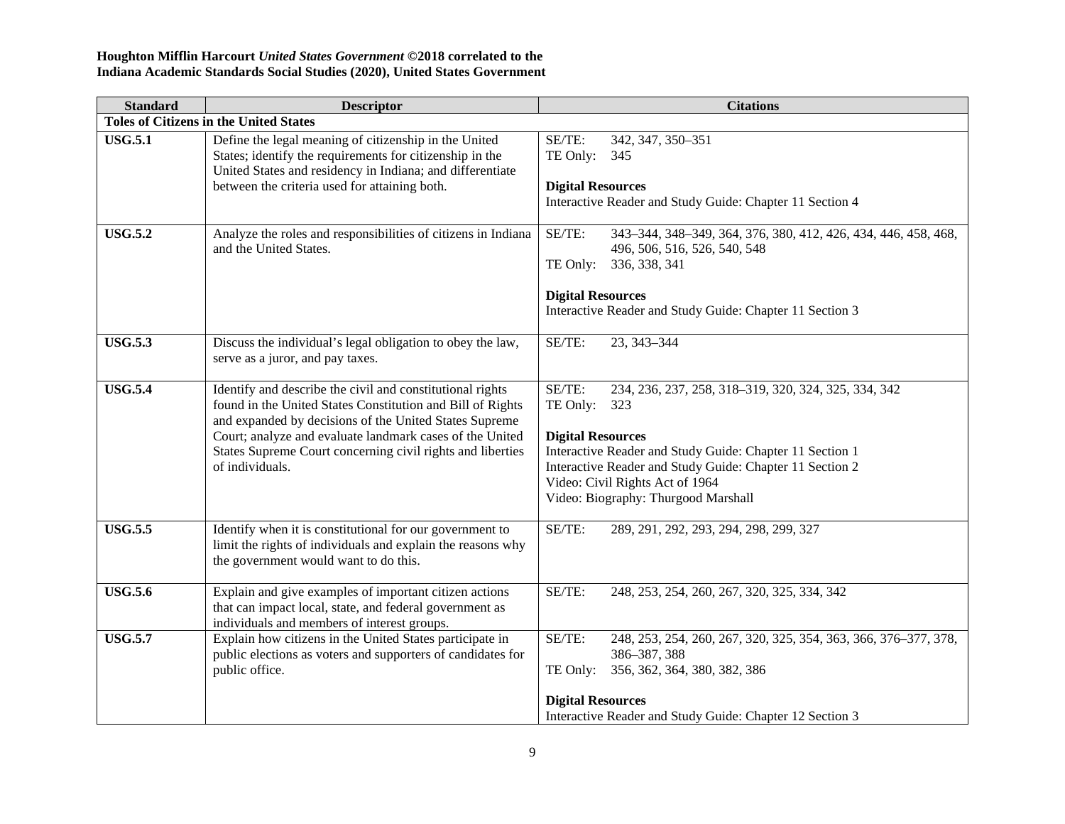| <b>Standard</b> | <b>Descriptor</b>                                                                                                                                                                                                                                                                                                              | <b>Citations</b>                                                                                                                                                                                                                                                                                                |  |  |
|-----------------|--------------------------------------------------------------------------------------------------------------------------------------------------------------------------------------------------------------------------------------------------------------------------------------------------------------------------------|-----------------------------------------------------------------------------------------------------------------------------------------------------------------------------------------------------------------------------------------------------------------------------------------------------------------|--|--|
|                 | <b>Toles of Citizens in the United States</b>                                                                                                                                                                                                                                                                                  |                                                                                                                                                                                                                                                                                                                 |  |  |
| <b>USG.5.1</b>  | Define the legal meaning of citizenship in the United<br>States; identify the requirements for citizenship in the<br>United States and residency in Indiana; and differentiate<br>between the criteria used for attaining both.                                                                                                | SE/TE:<br>342, 347, 350-351<br>TE Only:<br>345<br><b>Digital Resources</b><br>Interactive Reader and Study Guide: Chapter 11 Section 4                                                                                                                                                                          |  |  |
| <b>USG.5.2</b>  | Analyze the roles and responsibilities of citizens in Indiana<br>and the United States.                                                                                                                                                                                                                                        | SE/TE:<br>343-344, 348-349, 364, 376, 380, 412, 426, 434, 446, 458, 468,<br>496, 506, 516, 526, 540, 548<br>336, 338, 341<br>TE Only:<br><b>Digital Resources</b><br>Interactive Reader and Study Guide: Chapter 11 Section 3                                                                                   |  |  |
| <b>USG.5.3</b>  | Discuss the individual's legal obligation to obey the law,<br>serve as a juror, and pay taxes.                                                                                                                                                                                                                                 | SE/TE:<br>23, 343-344                                                                                                                                                                                                                                                                                           |  |  |
| <b>USG.5.4</b>  | Identify and describe the civil and constitutional rights<br>found in the United States Constitution and Bill of Rights<br>and expanded by decisions of the United States Supreme<br>Court; analyze and evaluate landmark cases of the United<br>States Supreme Court concerning civil rights and liberties<br>of individuals. | SE/TE:<br>234, 236, 237, 258, 318-319, 320, 324, 325, 334, 342<br>TE Only:<br>323<br><b>Digital Resources</b><br>Interactive Reader and Study Guide: Chapter 11 Section 1<br>Interactive Reader and Study Guide: Chapter 11 Section 2<br>Video: Civil Rights Act of 1964<br>Video: Biography: Thurgood Marshall |  |  |
| <b>USG.5.5</b>  | Identify when it is constitutional for our government to<br>limit the rights of individuals and explain the reasons why<br>the government would want to do this.                                                                                                                                                               | SE/TE:<br>289, 291, 292, 293, 294, 298, 299, 327                                                                                                                                                                                                                                                                |  |  |
| <b>USG.5.6</b>  | Explain and give examples of important citizen actions<br>that can impact local, state, and federal government as<br>individuals and members of interest groups.                                                                                                                                                               | SE/TE:<br>248, 253, 254, 260, 267, 320, 325, 334, 342                                                                                                                                                                                                                                                           |  |  |
| <b>USG.5.7</b>  | Explain how citizens in the United States participate in<br>public elections as voters and supporters of candidates for<br>public office.                                                                                                                                                                                      | SE/TE:<br>248, 253, 254, 260, 267, 320, 325, 354, 363, 366, 376-377, 378,<br>386-387, 388<br>356, 362, 364, 380, 382, 386<br>TE Only:<br><b>Digital Resources</b><br>Interactive Reader and Study Guide: Chapter 12 Section 3                                                                                   |  |  |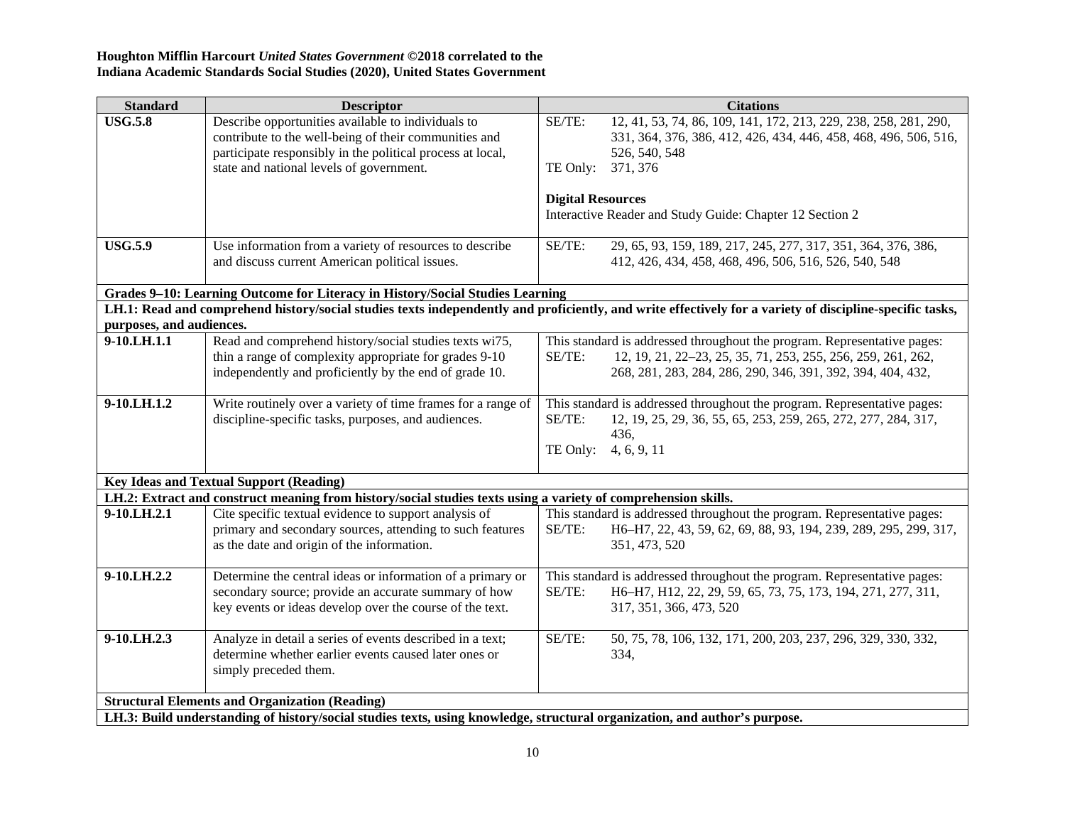| <b>Standard</b>                                                                                                | <b>Descriptor</b>                                                                                                                                                                                                     | <b>Citations</b>                                                                                                                                                                                                  |  |  |
|----------------------------------------------------------------------------------------------------------------|-----------------------------------------------------------------------------------------------------------------------------------------------------------------------------------------------------------------------|-------------------------------------------------------------------------------------------------------------------------------------------------------------------------------------------------------------------|--|--|
| <b>USG.5.8</b>                                                                                                 | Describe opportunities available to individuals to<br>contribute to the well-being of their communities and<br>participate responsibly in the political process at local,<br>state and national levels of government. | SE/TE:<br>12, 41, 53, 74, 86, 109, 141, 172, 213, 229, 238, 258, 281, 290,<br>331, 364, 376, 386, 412, 426, 434, 446, 458, 468, 496, 506, 516,<br>526, 540, 548<br>TE Only: 371, 376                              |  |  |
|                                                                                                                |                                                                                                                                                                                                                       | <b>Digital Resources</b><br>Interactive Reader and Study Guide: Chapter 12 Section 2                                                                                                                              |  |  |
| <b>USG.5.9</b>                                                                                                 | Use information from a variety of resources to describe<br>and discuss current American political issues.                                                                                                             | SE/TE:<br>29, 65, 93, 159, 189, 217, 245, 277, 317, 351, 364, 376, 386,<br>412, 426, 434, 458, 468, 496, 506, 516, 526, 540, 548                                                                                  |  |  |
|                                                                                                                | Grades 9-10: Learning Outcome for Literacy in History/Social Studies Learning                                                                                                                                         |                                                                                                                                                                                                                   |  |  |
|                                                                                                                |                                                                                                                                                                                                                       | LH.1: Read and comprehend history/social studies texts independently and proficiently, and write effectively for a variety of discipline-specific tasks,                                                          |  |  |
| purposes, and audiences.                                                                                       |                                                                                                                                                                                                                       |                                                                                                                                                                                                                   |  |  |
| 9-10.LH.1.1                                                                                                    | Read and comprehend history/social studies texts wi75,<br>thin a range of complexity appropriate for grades 9-10<br>independently and proficiently by the end of grade 10.                                            | This standard is addressed throughout the program. Representative pages:<br>12, 19, 21, 22-23, 25, 35, 71, 253, 255, 256, 259, 261, 262,<br>SE/TE:<br>268, 281, 283, 284, 286, 290, 346, 391, 392, 394, 404, 432, |  |  |
| 9-10.LH.1.2                                                                                                    | Write routinely over a variety of time frames for a range of<br>discipline-specific tasks, purposes, and audiences.                                                                                                   | This standard is addressed throughout the program. Representative pages:<br>SE/TE:<br>12, 19, 25, 29, 36, 55, 65, 253, 259, 265, 272, 277, 284, 317,<br>436,<br>TE Only: 4, 6, 9, 11                              |  |  |
| <b>Key Ideas and Textual Support (Reading)</b>                                                                 |                                                                                                                                                                                                                       |                                                                                                                                                                                                                   |  |  |
| LH.2: Extract and construct meaning from history/social studies texts using a variety of comprehension skills. |                                                                                                                                                                                                                       |                                                                                                                                                                                                                   |  |  |
| 9-10.LH.2.1                                                                                                    | Cite specific textual evidence to support analysis of<br>primary and secondary sources, attending to such features<br>as the date and origin of the information.                                                      | This standard is addressed throughout the program. Representative pages:<br>SE/TE:<br>H6-H7, 22, 43, 59, 62, 69, 88, 93, 194, 239, 289, 295, 299, 317,<br>351, 473, 520                                           |  |  |
| 9-10.LH.2.2                                                                                                    | Determine the central ideas or information of a primary or<br>secondary source; provide an accurate summary of how<br>key events or ideas develop over the course of the text.                                        | This standard is addressed throughout the program. Representative pages:<br>SE/TE:<br>H6-H7, H12, 22, 29, 59, 65, 73, 75, 173, 194, 271, 277, 311,<br>317, 351, 366, 473, 520                                     |  |  |
| 9-10.LH.2.3                                                                                                    | Analyze in detail a series of events described in a text;<br>determine whether earlier events caused later ones or<br>simply preceded them.                                                                           | SE/TE:<br>50, 75, 78, 106, 132, 171, 200, 203, 237, 296, 329, 330, 332,<br>334,                                                                                                                                   |  |  |
|                                                                                                                | <b>Structural Elements and Organization (Reading)</b>                                                                                                                                                                 |                                                                                                                                                                                                                   |  |  |
|                                                                                                                | LH.3: Build understanding of history/social studies texts, using knowledge, structural organization, and author's purpose.                                                                                            |                                                                                                                                                                                                                   |  |  |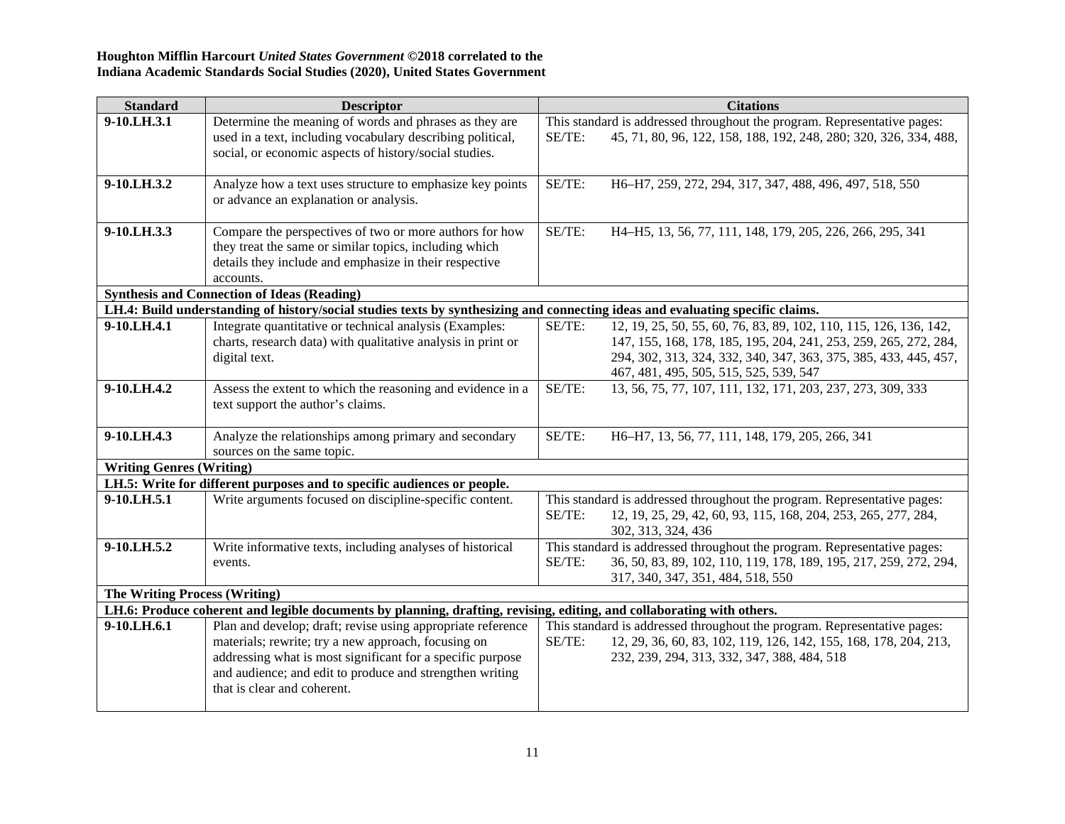| <b>Standard</b>                      | <b>Descriptor</b>                                                                                                              | <b>Citations</b>                                                                                                |
|--------------------------------------|--------------------------------------------------------------------------------------------------------------------------------|-----------------------------------------------------------------------------------------------------------------|
| 9-10.LH.3.1                          | Determine the meaning of words and phrases as they are                                                                         | This standard is addressed throughout the program. Representative pages:                                        |
|                                      | used in a text, including vocabulary describing political,                                                                     | 45, 71, 80, 96, 122, 158, 188, 192, 248, 280; 320, 326, 334, 488,<br>SE/TE:                                     |
|                                      | social, or economic aspects of history/social studies.                                                                         |                                                                                                                 |
|                                      |                                                                                                                                |                                                                                                                 |
| 9-10.LH.3.2                          | Analyze how a text uses structure to emphasize key points                                                                      | SE/TE:<br>H6-H7, 259, 272, 294, 317, 347, 488, 496, 497, 518, 550                                               |
|                                      | or advance an explanation or analysis.                                                                                         |                                                                                                                 |
|                                      |                                                                                                                                | SE/TE:                                                                                                          |
| 9-10.LH.3.3                          | Compare the perspectives of two or more authors for how<br>they treat the same or similar topics, including which              | H4-H5, 13, 56, 77, 111, 148, 179, 205, 226, 266, 295, 341                                                       |
|                                      | details they include and emphasize in their respective                                                                         |                                                                                                                 |
|                                      | accounts.                                                                                                                      |                                                                                                                 |
|                                      | <b>Synthesis and Connection of Ideas (Reading)</b>                                                                             |                                                                                                                 |
|                                      | LH.4: Build understanding of history/social studies texts by synthesizing and connecting ideas and evaluating specific claims. |                                                                                                                 |
| 9-10.LH.4.1                          | Integrate quantitative or technical analysis (Examples:                                                                        | 12, 19, 25, 50, 55, 60, 76, 83, 89, 102, 110, 115, 126, 136, 142,<br>SE/TE:                                     |
|                                      | charts, research data) with qualitative analysis in print or                                                                   | 147, 155, 168, 178, 185, 195, 204, 241, 253, 259, 265, 272, 284,                                                |
|                                      | digital text.                                                                                                                  | 294, 302, 313, 324, 332, 340, 347, 363, 375, 385, 433, 445, 457,                                                |
|                                      |                                                                                                                                | 467, 481, 495, 505, 515, 525, 539, 547                                                                          |
| 9-10.LH.4.2                          | Assess the extent to which the reasoning and evidence in a                                                                     | SE/TE:<br>13, 56, 75, 77, 107, 111, 132, 171, 203, 237, 273, 309, 333                                           |
|                                      | text support the author's claims.                                                                                              |                                                                                                                 |
| 9-10.LH.4.3                          | Analyze the relationships among primary and secondary                                                                          | SE/TE:<br>H6-H7, 13, 56, 77, 111, 148, 179, 205, 266, 341                                                       |
|                                      | sources on the same topic.                                                                                                     |                                                                                                                 |
| <b>Writing Genres (Writing)</b>      |                                                                                                                                |                                                                                                                 |
|                                      | LH.5: Write for different purposes and to specific audiences or people.                                                        |                                                                                                                 |
| 9-10.LH.5.1                          | Write arguments focused on discipline-specific content.                                                                        | This standard is addressed throughout the program. Representative pages:                                        |
|                                      |                                                                                                                                | SE/TE:<br>12, 19, 25, 29, 42, 60, 93, 115, 168, 204, 253, 265, 277, 284,                                        |
|                                      |                                                                                                                                | 302, 313, 324, 436                                                                                              |
| 9-10.LH.5.2                          | Write informative texts, including analyses of historical                                                                      | This standard is addressed throughout the program. Representative pages:                                        |
|                                      | events.                                                                                                                        | SE/TE:<br>36, 50, 83, 89, 102, 110, 119, 178, 189, 195, 217, 259, 272, 294,                                     |
|                                      |                                                                                                                                | 317, 340, 347, 351, 484, 518, 550                                                                               |
| <b>The Writing Process (Writing)</b> |                                                                                                                                |                                                                                                                 |
|                                      | LH.6: Produce coherent and legible documents by planning, drafting, revising, editing, and collaborating with others.          |                                                                                                                 |
| 9-10.LH.6.1                          | Plan and develop; draft; revise using appropriate reference<br>materials; rewrite; try a new approach, focusing on             | This standard is addressed throughout the program. Representative pages:<br>SE/TE:                              |
|                                      | addressing what is most significant for a specific purpose                                                                     | 12, 29, 36, 60, 83, 102, 119, 126, 142, 155, 168, 178, 204, 213,<br>232, 239, 294, 313, 332, 347, 388, 484, 518 |
|                                      | and audience; and edit to produce and strengthen writing                                                                       |                                                                                                                 |
|                                      | that is clear and coherent.                                                                                                    |                                                                                                                 |
|                                      |                                                                                                                                |                                                                                                                 |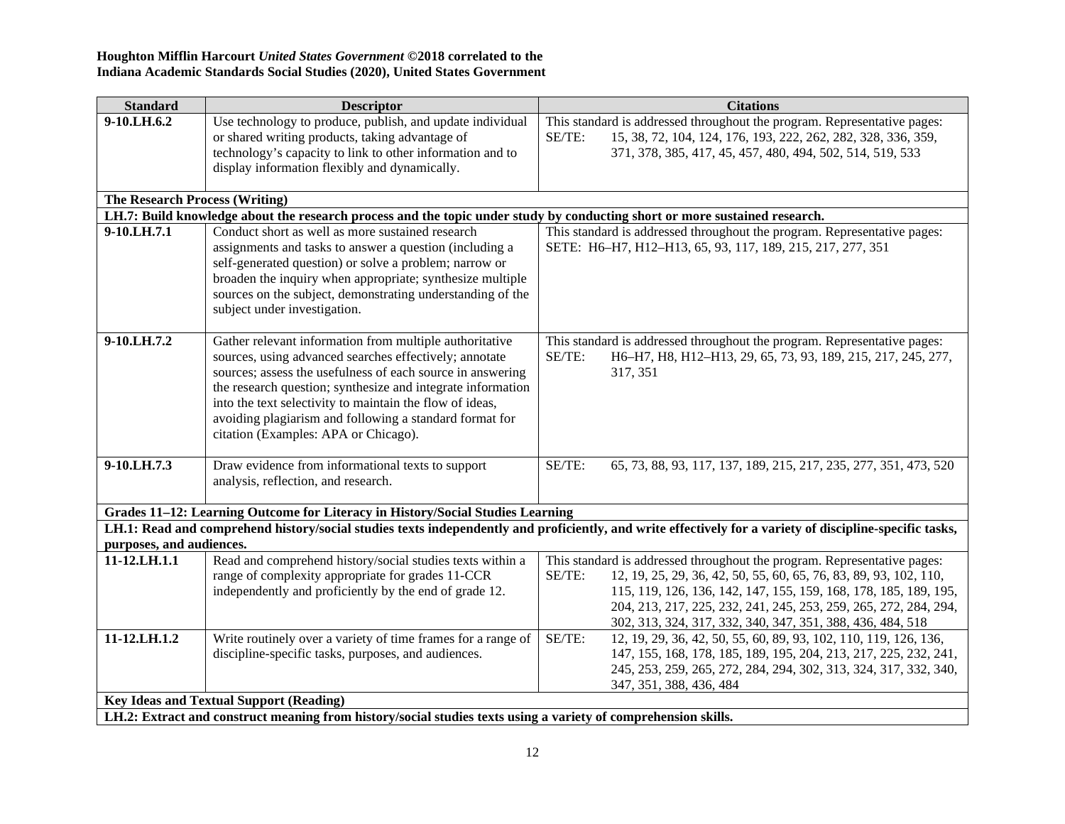| <b>Standard</b>                                | <b>Descriptor</b>                                                                                                          | <b>Citations</b>                                                                                                                                         |  |
|------------------------------------------------|----------------------------------------------------------------------------------------------------------------------------|----------------------------------------------------------------------------------------------------------------------------------------------------------|--|
| 9-10.LH.6.2                                    | Use technology to produce, publish, and update individual                                                                  | This standard is addressed throughout the program. Representative pages:                                                                                 |  |
|                                                | or shared writing products, taking advantage of                                                                            | 15, 38, 72, 104, 124, 176, 193, 222, 262, 282, 328, 336, 359,<br>SE/TE:                                                                                  |  |
|                                                | technology's capacity to link to other information and to<br>display information flexibly and dynamically.                 | 371, 378, 385, 417, 45, 457, 480, 494, 502, 514, 519, 533                                                                                                |  |
|                                                |                                                                                                                            |                                                                                                                                                          |  |
| <b>The Research Process (Writing)</b>          |                                                                                                                            |                                                                                                                                                          |  |
|                                                | LH.7: Build knowledge about the research process and the topic under study by conducting short or more sustained research. |                                                                                                                                                          |  |
| 9-10.LH.7.1                                    | Conduct short as well as more sustained research                                                                           | This standard is addressed throughout the program. Representative pages:                                                                                 |  |
|                                                | assignments and tasks to answer a question (including a                                                                    | SETE: H6-H7, H12-H13, 65, 93, 117, 189, 215, 217, 277, 351                                                                                               |  |
|                                                | self-generated question) or solve a problem; narrow or                                                                     |                                                                                                                                                          |  |
|                                                | broaden the inquiry when appropriate; synthesize multiple                                                                  |                                                                                                                                                          |  |
|                                                | sources on the subject, demonstrating understanding of the                                                                 |                                                                                                                                                          |  |
|                                                | subject under investigation.                                                                                               |                                                                                                                                                          |  |
|                                                |                                                                                                                            |                                                                                                                                                          |  |
| 9-10.LH.7.2                                    | Gather relevant information from multiple authoritative                                                                    | This standard is addressed throughout the program. Representative pages:                                                                                 |  |
|                                                | sources, using advanced searches effectively; annotate                                                                     | H6-H7, H8, H12-H13, 29, 65, 73, 93, 189, 215, 217, 245, 277,<br>SE/TE:                                                                                   |  |
|                                                | sources; assess the usefulness of each source in answering                                                                 | 317, 351                                                                                                                                                 |  |
|                                                | the research question; synthesize and integrate information                                                                |                                                                                                                                                          |  |
|                                                | into the text selectivity to maintain the flow of ideas,<br>avoiding plagiarism and following a standard format for        |                                                                                                                                                          |  |
|                                                | citation (Examples: APA or Chicago).                                                                                       |                                                                                                                                                          |  |
|                                                |                                                                                                                            |                                                                                                                                                          |  |
| 9-10.LH.7.3                                    | Draw evidence from informational texts to support                                                                          | SE/TE:<br>65, 73, 88, 93, 117, 137, 189, 215, 217, 235, 277, 351, 473, 520                                                                               |  |
|                                                | analysis, reflection, and research.                                                                                        |                                                                                                                                                          |  |
|                                                |                                                                                                                            |                                                                                                                                                          |  |
|                                                | Grades 11-12: Learning Outcome for Literacy in History/Social Studies Learning                                             |                                                                                                                                                          |  |
|                                                |                                                                                                                            | LH.1: Read and comprehend history/social studies texts independently and proficiently, and write effectively for a variety of discipline-specific tasks, |  |
| purposes, and audiences.<br>11-12.LH.1.1       | Read and comprehend history/social studies texts within a                                                                  | This standard is addressed throughout the program. Representative pages:                                                                                 |  |
|                                                | range of complexity appropriate for grades 11-CCR                                                                          | SE/TE:<br>12, 19, 25, 29, 36, 42, 50, 55, 60, 65, 76, 83, 89, 93, 102, 110,                                                                              |  |
|                                                | independently and proficiently by the end of grade 12.                                                                     | 115, 119, 126, 136, 142, 147, 155, 159, 168, 178, 185, 189, 195,                                                                                         |  |
|                                                |                                                                                                                            | 204, 213, 217, 225, 232, 241, 245, 253, 259, 265, 272, 284, 294,                                                                                         |  |
|                                                |                                                                                                                            | 302, 313, 324, 317, 332, 340, 347, 351, 388, 436, 484, 518                                                                                               |  |
| $11 - 12$ .LH.1.2                              | Write routinely over a variety of time frames for a range of                                                               | SE/TE:<br>12, 19, 29, 36, 42, 50, 55, 60, 89, 93, 102, 110, 119, 126, 136,                                                                               |  |
|                                                | discipline-specific tasks, purposes, and audiences.                                                                        | 147, 155, 168, 178, 185, 189, 195, 204, 213, 217, 225, 232, 241,                                                                                         |  |
|                                                |                                                                                                                            | 245, 253, 259, 265, 272, 284, 294, 302, 313, 324, 317, 332, 340,                                                                                         |  |
|                                                |                                                                                                                            | 347, 351, 388, 436, 484                                                                                                                                  |  |
| <b>Key Ideas and Textual Support (Reading)</b> |                                                                                                                            |                                                                                                                                                          |  |
|                                                | LH.2: Extract and construct meaning from history/social studies texts using a variety of comprehension skills.             |                                                                                                                                                          |  |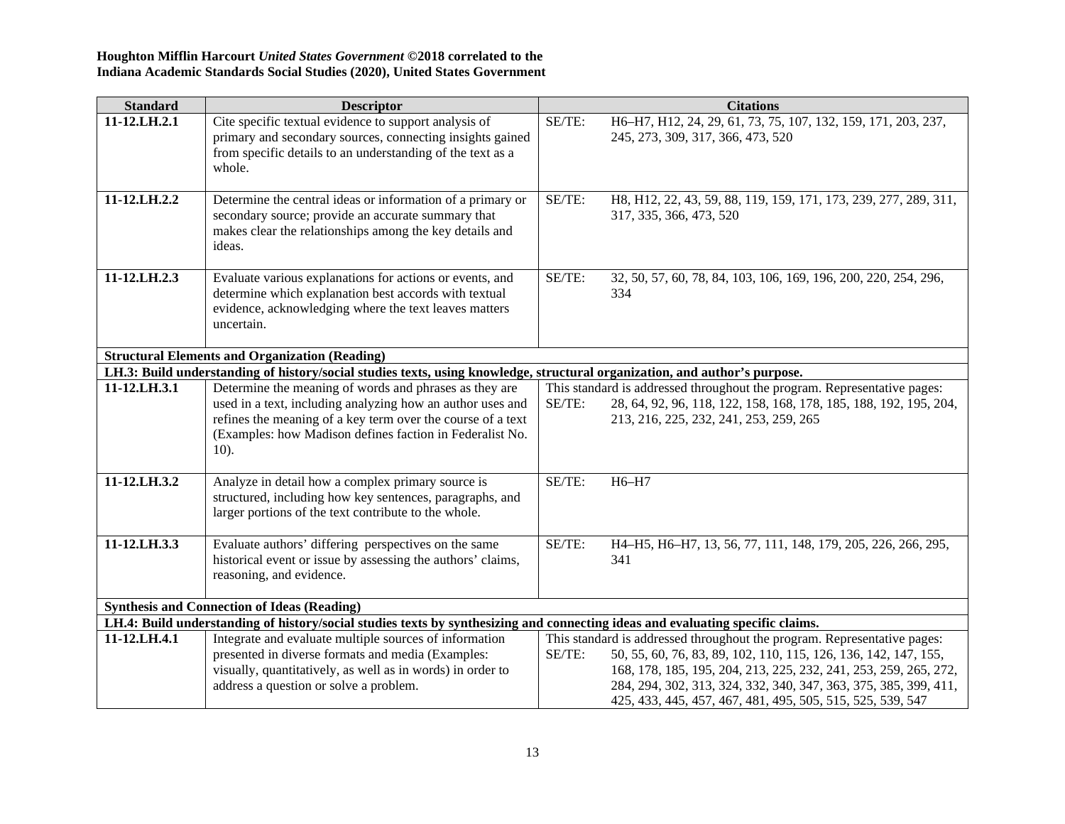| <b>Standard</b>                                       | <b>Descriptor</b>                                                                                                                                                                                                                                          | <b>Citations</b>                                                                                                                                                                                                                                                                                                                                            |  |  |  |
|-------------------------------------------------------|------------------------------------------------------------------------------------------------------------------------------------------------------------------------------------------------------------------------------------------------------------|-------------------------------------------------------------------------------------------------------------------------------------------------------------------------------------------------------------------------------------------------------------------------------------------------------------------------------------------------------------|--|--|--|
| 11-12.LH.2.1                                          | Cite specific textual evidence to support analysis of<br>primary and secondary sources, connecting insights gained<br>from specific details to an understanding of the text as a<br>whole.                                                                 | SE/TE:<br>H6-H7, H12, 24, 29, 61, 73, 75, 107, 132, 159, 171, 203, 237,<br>245, 273, 309, 317, 366, 473, 520                                                                                                                                                                                                                                                |  |  |  |
| 11-12.LH.2.2                                          | Determine the central ideas or information of a primary or<br>secondary source; provide an accurate summary that<br>makes clear the relationships among the key details and<br>ideas.                                                                      | SE/TE:<br>H8, H12, 22, 43, 59, 88, 119, 159, 171, 173, 239, 277, 289, 311,<br>317, 335, 366, 473, 520                                                                                                                                                                                                                                                       |  |  |  |
| 11-12.LH.2.3                                          | Evaluate various explanations for actions or events, and<br>determine which explanation best accords with textual<br>evidence, acknowledging where the text leaves matters<br>uncertain.                                                                   | SE/TE:<br>32, 50, 57, 60, 78, 84, 103, 106, 169, 196, 200, 220, 254, 296,<br>334                                                                                                                                                                                                                                                                            |  |  |  |
| <b>Structural Elements and Organization (Reading)</b> |                                                                                                                                                                                                                                                            |                                                                                                                                                                                                                                                                                                                                                             |  |  |  |
|                                                       | LH.3: Build understanding of history/social studies texts, using knowledge, structural organization, and author's purpose.                                                                                                                                 |                                                                                                                                                                                                                                                                                                                                                             |  |  |  |
| 11-12.LH.3.1                                          | Determine the meaning of words and phrases as they are<br>used in a text, including analyzing how an author uses and<br>refines the meaning of a key term over the course of a text<br>(Examples: how Madison defines faction in Federalist No.<br>$10$ ). | This standard is addressed throughout the program. Representative pages:<br>SE/TE:<br>28, 64, 92, 96, 118, 122, 158, 168, 178, 185, 188, 192, 195, 204,<br>213, 216, 225, 232, 241, 253, 259, 265                                                                                                                                                           |  |  |  |
| 11-12.LH.3.2                                          | Analyze in detail how a complex primary source is<br>structured, including how key sentences, paragraphs, and<br>larger portions of the text contribute to the whole.                                                                                      | SE/TE:<br>H6-H7                                                                                                                                                                                                                                                                                                                                             |  |  |  |
| 11-12.LH.3.3                                          | Evaluate authors' differing perspectives on the same<br>historical event or issue by assessing the authors' claims,<br>reasoning, and evidence.                                                                                                            | SE/TE:<br>H4-H5, H6-H7, 13, 56, 77, 111, 148, 179, 205, 226, 266, 295,<br>341                                                                                                                                                                                                                                                                               |  |  |  |
|                                                       | <b>Synthesis and Connection of Ideas (Reading)</b>                                                                                                                                                                                                         |                                                                                                                                                                                                                                                                                                                                                             |  |  |  |
|                                                       | LH.4: Build understanding of history/social studies texts by synthesizing and connecting ideas and evaluating specific claims.                                                                                                                             |                                                                                                                                                                                                                                                                                                                                                             |  |  |  |
| 11-12.LH.4.1                                          | Integrate and evaluate multiple sources of information<br>presented in diverse formats and media (Examples:<br>visually, quantitatively, as well as in words) in order to<br>address a question or solve a problem.                                        | This standard is addressed throughout the program. Representative pages:<br>SE/TE:<br>50, 55, 60, 76, 83, 89, 102, 110, 115, 126, 136, 142, 147, 155,<br>168, 178, 185, 195, 204, 213, 225, 232, 241, 253, 259, 265, 272,<br>284, 294, 302, 313, 324, 332, 340, 347, 363, 375, 385, 399, 411,<br>425, 433, 445, 457, 467, 481, 495, 505, 515, 525, 539, 547 |  |  |  |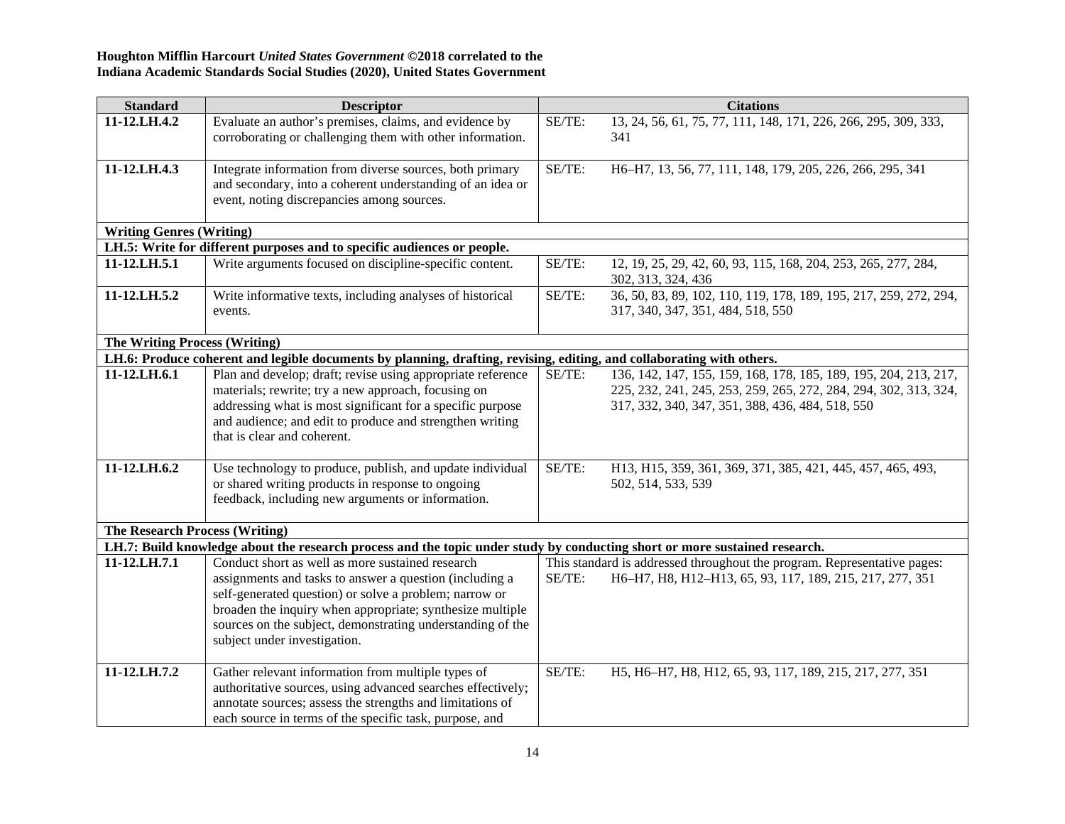| <b>Standard</b>                       | <b>Descriptor</b>                                                                                                          |        | <b>Citations</b>                                                                     |
|---------------------------------------|----------------------------------------------------------------------------------------------------------------------------|--------|--------------------------------------------------------------------------------------|
| 11-12.LH.4.2                          | Evaluate an author's premises, claims, and evidence by                                                                     | SE/TE: | 13, 24, 56, 61, 75, 77, 111, 148, 171, 226, 266, 295, 309, 333,                      |
|                                       | corroborating or challenging them with other information.                                                                  |        | 341                                                                                  |
| 11-12.LH.4.3                          | Integrate information from diverse sources, both primary                                                                   | SE/TE: | H6-H7, 13, 56, 77, 111, 148, 179, 205, 226, 266, 295, 341                            |
|                                       | and secondary, into a coherent understanding of an idea or                                                                 |        |                                                                                      |
|                                       | event, noting discrepancies among sources.                                                                                 |        |                                                                                      |
| <b>Writing Genres (Writing)</b>       |                                                                                                                            |        |                                                                                      |
|                                       | LH.5: Write for different purposes and to specific audiences or people.                                                    |        |                                                                                      |
| 11-12.LH.5.1                          | Write arguments focused on discipline-specific content.                                                                    | SE/TE: | 12, 19, 25, 29, 42, 60, 93, 115, 168, 204, 253, 265, 277, 284,<br>302, 313, 324, 436 |
| 11-12.LH.5.2                          | Write informative texts, including analyses of historical                                                                  | SE/TE: | 36, 50, 83, 89, 102, 110, 119, 178, 189, 195, 217, 259, 272, 294,                    |
|                                       | events.                                                                                                                    |        | 317, 340, 347, 351, 484, 518, 550                                                    |
| <b>The Writing Process (Writing)</b>  |                                                                                                                            |        |                                                                                      |
|                                       | LH.6: Produce coherent and legible documents by planning, drafting, revising, editing, and collaborating with others.      |        |                                                                                      |
| 11-12.LH.6.1                          | Plan and develop; draft; revise using appropriate reference                                                                | SE/TE: | 136, 142, 147, 155, 159, 168, 178, 185, 189, 195, 204, 213, 217,                     |
|                                       | materials; rewrite; try a new approach, focusing on                                                                        |        | 225, 232, 241, 245, 253, 259, 265, 272, 284, 294, 302, 313, 324,                     |
|                                       | addressing what is most significant for a specific purpose                                                                 |        | 317, 332, 340, 347, 351, 388, 436, 484, 518, 550                                     |
|                                       | and audience; and edit to produce and strengthen writing                                                                   |        |                                                                                      |
|                                       | that is clear and coherent.                                                                                                |        |                                                                                      |
|                                       |                                                                                                                            |        |                                                                                      |
| 11-12.LH.6.2                          | Use technology to produce, publish, and update individual                                                                  | SE/TE: | H13, H15, 359, 361, 369, 371, 385, 421, 445, 457, 465, 493,                          |
|                                       | or shared writing products in response to ongoing                                                                          |        | 502, 514, 533, 539                                                                   |
|                                       | feedback, including new arguments or information.                                                                          |        |                                                                                      |
| <b>The Research Process (Writing)</b> |                                                                                                                            |        |                                                                                      |
|                                       | LH.7: Build knowledge about the research process and the topic under study by conducting short or more sustained research. |        |                                                                                      |
| 11-12.LH.7.1                          | Conduct short as well as more sustained research                                                                           |        | This standard is addressed throughout the program. Representative pages:             |
|                                       | assignments and tasks to answer a question (including a                                                                    | SE/TE: | H6-H7, H8, H12-H13, 65, 93, 117, 189, 215, 217, 277, 351                             |
|                                       | self-generated question) or solve a problem; narrow or                                                                     |        |                                                                                      |
|                                       | broaden the inquiry when appropriate; synthesize multiple                                                                  |        |                                                                                      |
|                                       | sources on the subject, demonstrating understanding of the                                                                 |        |                                                                                      |
|                                       | subject under investigation.                                                                                               |        |                                                                                      |
| 11-12.LH.7.2                          | Gather relevant information from multiple types of                                                                         | SE/TE: | H5, H6-H7, H8, H12, 65, 93, 117, 189, 215, 217, 277, 351                             |
|                                       | authoritative sources, using advanced searches effectively;                                                                |        |                                                                                      |
|                                       | annotate sources; assess the strengths and limitations of                                                                  |        |                                                                                      |
|                                       | each source in terms of the specific task, purpose, and                                                                    |        |                                                                                      |